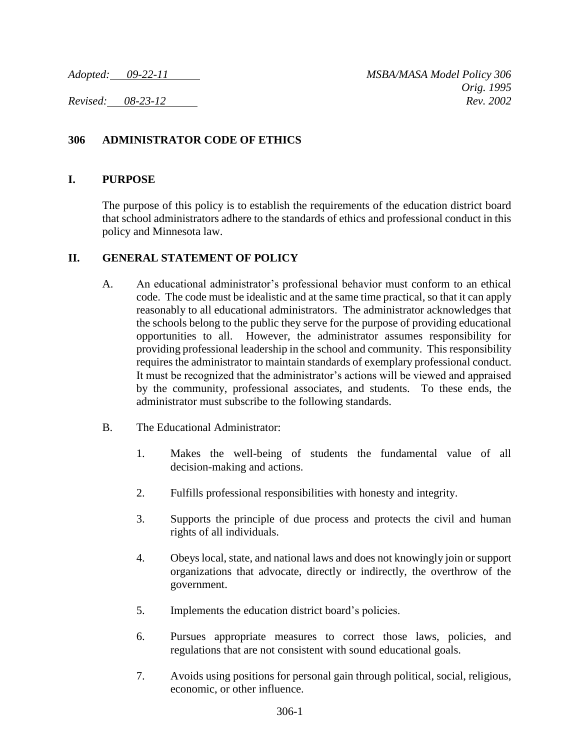*Adopted: 09-22-11 MSBA/MASA Model Policy 306 Orig. 1995 Revised: 08-23-12 Rev. 2002*

## **306 ADMINISTRATOR CODE OF ETHICS**

## **I. PURPOSE**

The purpose of this policy is to establish the requirements of the education district board that school administrators adhere to the standards of ethics and professional conduct in this policy and Minnesota law.

## **II. GENERAL STATEMENT OF POLICY**

- A. An educational administrator's professional behavior must conform to an ethical code. The code must be idealistic and at the same time practical, so that it can apply reasonably to all educational administrators. The administrator acknowledges that the schools belong to the public they serve for the purpose of providing educational opportunities to all. However, the administrator assumes responsibility for providing professional leadership in the school and community. This responsibility requires the administrator to maintain standards of exemplary professional conduct. It must be recognized that the administrator's actions will be viewed and appraised by the community, professional associates, and students. To these ends, the administrator must subscribe to the following standards.
- B. The Educational Administrator:
	- 1. Makes the well-being of students the fundamental value of all decision-making and actions.
	- 2. Fulfills professional responsibilities with honesty and integrity.
	- 3. Supports the principle of due process and protects the civil and human rights of all individuals.
	- 4. Obeys local, state, and national laws and does not knowingly join or support organizations that advocate, directly or indirectly, the overthrow of the government.
	- 5. Implements the education district board's policies.
	- 6. Pursues appropriate measures to correct those laws, policies, and regulations that are not consistent with sound educational goals.
	- 7. Avoids using positions for personal gain through political, social, religious, economic, or other influence.